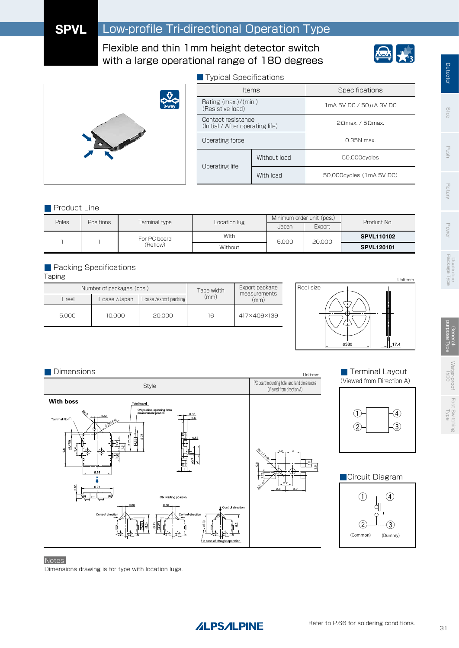# **SPVL** Low-profile Tri-directional Operation Type

Flexible and thin 1mm height detector switch with a large operational range of 180 degrees



**Detector** Detector



| ■ Typical Specifications                               |              |                              |  |  |  |
|--------------------------------------------------------|--------------|------------------------------|--|--|--|
| <b>Items</b>                                           |              | Specifications               |  |  |  |
| Rating $(max.)/(min.)$<br>(Resistive load)             |              | 1mA 5V DC / 50 µ A 3V DC     |  |  |  |
| Contact resistance<br>(Initial / After operating life) |              | 20 max. / 50 max.            |  |  |  |
| Operating force                                        |              | $0.35N$ max.                 |  |  |  |
| Operating life                                         | Without load | 50.000cvcles                 |  |  |  |
|                                                        | With Inad    | 50,000 cycles (1 m A 5 V DC) |  |  |  |

### **Product Line**

| <b>Poles</b><br><b>Positions</b> |  | Terminal type | Location lug | Minimum order unit (pcs.) |        | Product No.       |
|----------------------------------|--|---------------|--------------|---------------------------|--------|-------------------|
|                                  |  |               | Japan        | Export                    |        |                   |
|                                  |  | For PC board  | With         | 5.000                     | 20,000 | <b>SPVL110102</b> |
|                                  |  | (Reflow)      | Without      |                           |        | <b>SPVL120101</b> |

### **Packing Specifications**

Taping

| Number of packages (pcs.) |               |                     | Tape width | Export package       |  |
|---------------------------|---------------|---------------------|------------|----------------------|--|
| 1 reel                    | 1 case /Japan | case/export packing | (mm)       | measurements<br>(mm) |  |
| 5.000                     | 10.000        | 20,000              | 16         | 417×409×139          |  |











### Notes

Dimensions drawing is for type with location lugs.

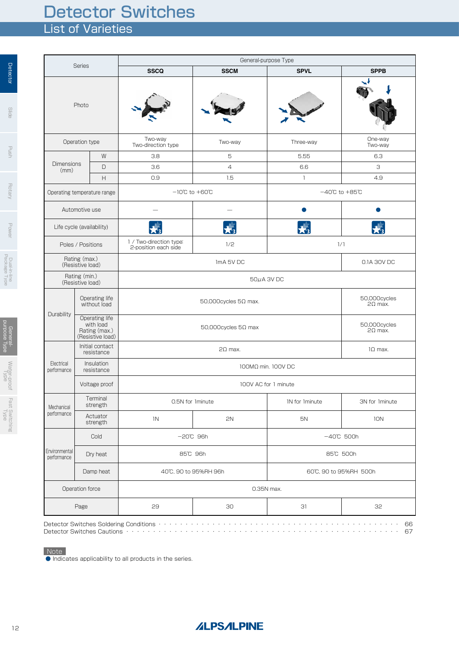# List of Varieties Detector Switches

|                                                | <b>Series</b>                                                               | General-purpose Type               |                |                                    |                                |  |
|------------------------------------------------|-----------------------------------------------------------------------------|------------------------------------|----------------|------------------------------------|--------------------------------|--|
|                                                |                                                                             | <b>SSCQ</b>                        | <b>SSCM</b>    | <b>SPVL</b>                        | <b>SPPB</b>                    |  |
| Photo                                          |                                                                             |                                    |                |                                    |                                |  |
|                                                | Operation type                                                              | Two-way<br>Two-direction type      | Two-way        | Three-way                          | One-way<br>Two-way             |  |
|                                                | W                                                                           | 3.8                                | 5              | 5.55                               | 6.3                            |  |
| <b>Dimensions</b><br>(mm)                      | D                                                                           | 3.6                                | $\overline{4}$ | 6.6                                | З                              |  |
|                                                | $\boldsymbol{\mathsf{H}}$                                                   | 0.9                                | 1.5            | $\mathbf{1}$                       | 4.9                            |  |
|                                                | Operating temperature range                                                 | $-10^{\circ}$ C to $+60^{\circ}$ C |                | $-40^{\circ}$ C to $+85^{\circ}$ C |                                |  |
|                                                | Automotive use                                                              |                                    |                |                                    |                                |  |
|                                                | Life cycle (availability)                                                   |                                    |                |                                    |                                |  |
|                                                | 1 / Two-direction type:<br>1/2<br>Poles / Positions<br>2-position each side |                                    | 1/1            |                                    |                                |  |
| Rating (max.)<br>ImA 5V DC<br>(Resistive load) |                                                                             |                                    | 0.1A 30V DC    |                                    |                                |  |
| Rating (min.)<br>(Resistive load)              |                                                                             | 50µA 3V DC                         |                |                                    |                                |  |
| Operating life<br>without load                 |                                                                             | $50,000$ cycles $5\Omega$ max.     |                |                                    | 50,000cycles<br>$2\Omega$ max. |  |
| Durability                                     | Operating life<br>with load<br>Rating (max.)<br>(Resistive load)            | $50,000$ cycles $5\Omega$ max      |                |                                    | 50,000cycles<br>$2\Omega$ max. |  |
|                                                | Initial contact<br>resistance                                               |                                    | $2\Omega$ max. |                                    | $1\Omega$ max.                 |  |
| Electrical<br>performance                      | Insulation<br>resistance                                                    |                                    |                |                                    |                                |  |
|                                                | Voltage proof                                                               |                                    |                |                                    |                                |  |
| Mechanical                                     | Terminal<br>strength                                                        | 0.5N for 1minute                   |                | IN for Iminute                     | 3N for 1minute                 |  |
| performance                                    | Actuator<br>strength                                                        | 1N                                 | 2N             | 5N                                 | 10N                            |  |
|                                                | Cold                                                                        | $-20^\circ$ C 96h                  |                | $-40^{\circ}C$ 500h                |                                |  |
| Environmental<br>performance                   | Dry heat                                                                    | 85°C 96h                           |                | 85°C 500h                          |                                |  |
|                                                | Damp heat                                                                   | 40°C, 90 to 95%RH 96h              |                |                                    | 60°C, 90 to 95%RH 500h         |  |
|                                                | Operation force                                                             |                                    |                | 0.35N max.                         |                                |  |
|                                                | 29<br>Page                                                                  |                                    | 30             | 31                                 | 32                             |  |

Note

● Indicates applicability to all products in the series.

**Rotary** 

**Detector** 

 $rac{1}{100}$ 

Generalpurpose Type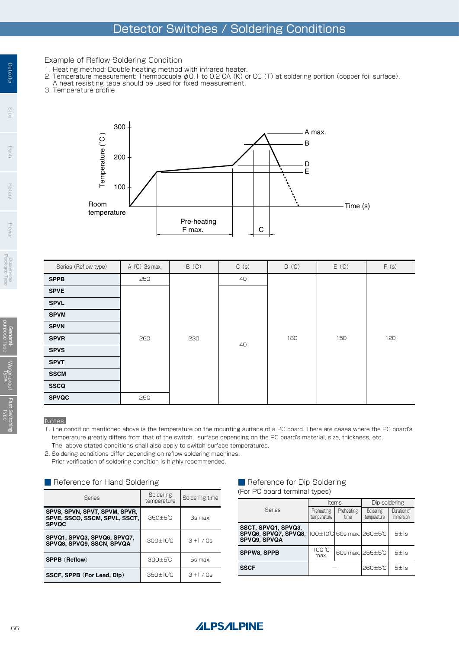## Detector Switches / Soldering Conditions

### Example of Reflow Soldering Condition

- 1. Heating method: Double heating method with infrared heater.
- 2. Temperature measurement: Thermocouple φ0.1 to 0.2 CA (K) or CC (T) at soldering portion (copper foil surface).
- A heat resisting tape should be used for fixed measurement.
- 3. Temperature profile



| Series (Reflow type) | A (°C) 3s max. | B(C) | C(s) | D(T) | E(C) | F(S) |
|----------------------|----------------|------|------|------|------|------|
| <b>SPPB</b>          | 250            |      | 40   |      |      |      |
| <b>SPVE</b>          |                |      |      |      |      |      |
| <b>SPVL</b>          |                |      |      |      |      |      |
| <b>SPVM</b>          |                | 230  | 40   | 180  | 150  | 120  |
| <b>SPVN</b>          |                |      |      |      |      |      |
| <b>SPVR</b>          | 260            |      |      |      |      |      |
| <b>SPVS</b>          |                |      |      |      |      |      |
| <b>SPVT</b>          |                |      |      |      |      |      |
| <b>SSCM</b>          |                |      |      |      |      |      |
| <b>SSCQ</b>          |                |      |      |      |      |      |
| <b>SPVQC</b>         | 250            |      |      |      |      |      |

### **Notes**

1. The condition mentioned above is the temperature on the mounting surface of a PC board. There are cases where the PC board's temperature greatly differs from that of the switch, surface depending on the PC board's material, size, thickness, etc. The above-stated conditions shall also apply to switch surface temperatures.

2. Soldering conditions differ depending on reflow soldering machines.

Prior verification of soldering condition is highly recommended.

| Reference for Hand Soldering |  |
|------------------------------|--|
|------------------------------|--|

| <b>Series</b>                                                                  | Soldering<br>temperature | Soldering time |  |
|--------------------------------------------------------------------------------|--------------------------|----------------|--|
| SPVS, SPVN, SPVT, SPVM, SPVR,<br>SPVE, SSCQ, SSCM, SPVL, SSCT,<br><b>SPVQC</b> | 350±5°C                  | 3s max.        |  |
| SPVQ1, SPVQ3, SPVQ6, SPVQ7,<br>SPVQ8, SPVQ9, SSCN, SPVQA                       | $300 \pm 10$ °C          | $3 + 1 / 0s$   |  |
| <b>SPPB (Reflow)</b>                                                           | 300±5°C                  | 5s max.        |  |
| SSCF, SPPB (For Lead, Dip)                                                     | $350 \pm 10^{\circ}$ C   | $3 + 1 / 0s$   |  |

### Reference for Dip Soldering (For PC board terminal types)

|                                                                                              |                           | <b>Items</b>       | Dip soldering            |                          |  |  |
|----------------------------------------------------------------------------------------------|---------------------------|--------------------|--------------------------|--------------------------|--|--|
| <b>Series</b>                                                                                | Preheating<br>temperature | Preheating<br>time | Soldering<br>temperature | Duration of<br>immersion |  |  |
| SSCT, SPVQ1, SPVQ3,<br><b>SPVQ6, SPVQ7, SPVQ8, 100±10°C 60s max. 260±5°C</b><br>SPVQ9, SPVQA |                           |                    |                          | 5±1s                     |  |  |
| <b>SPPW8, SPPB</b>                                                                           | 100 °C<br>max.            |                    | 60s max. 255±5℃          | 5±1s                     |  |  |
| <b>SSCF</b>                                                                                  |                           |                    | $260 \pm 5$ °C           | 5±1s                     |  |  |



Detector

**Slide** 

usnd

**Hotary** 

Power